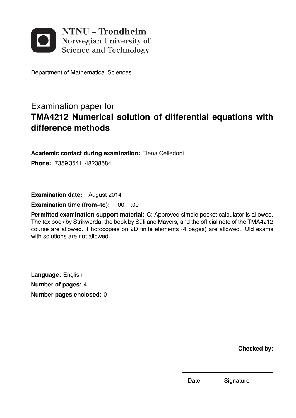

Department of Mathematical Sciences

# Examination paper for **TMA4212 Numerical solution of differential equations with difference methods**

**Academic contact during examination:** Elena Celledoni

**Phone:** 7359 3541, 48238584

**Examination date:** August 2014

**Examination time (from–to):** :00- :00

**Permitted examination support material:** C: Approved simple pocket calculator is allowed. The tex book by Strikwerda, the book by Süli and Mayers, and the official note of the TMA4212 course are allowed. Photocopies on 2D finite elements (4 pages) are allowed. Old exams with solutions are not allowed.

**Language:** English **Number of pages:** 4 **Number pages enclosed:** 0

**Checked by:**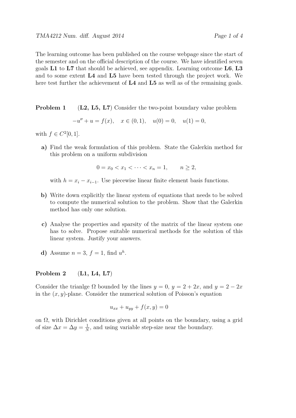The learning outcome has been published on the course webpage since the start of the semester and on the official description of the course. We have identified seven goals **L1** to **L7** that should be achieved, see appendix. Learning outcome **L6**, **L3** and to some extent **L4** and **L5** have been tested through the project work. We here test further the achievement of **L4** and **L5** as well as of the remaining goals.

**Problem 1** (L2, L5, L7) Consider the two-point boundary value problem

 $-u'' + u = f(x), \quad x \in (0, 1), \quad u(0) = 0, \quad u(1) = 0,$ 

with  $f \in C^2[0,1]$ .

**a)** Find the weak formulation of this problem. State the Galerkin method for this problem on a uniform subdivision

$$
0 = x_0 < x_1 < \cdots < x_n = 1, \qquad n \ge 2,
$$

with  $h = x_i - x_{i-1}$ . Use piecewise linear finite element basis functions.

- **b)** Write down explicitly the linear system of equations that needs to be solved to compute the numerical solution to the problem. Show that the Galerkin method has only one solution.
- **c)** Analyse the properties and sparsity of the matrix of the linear system one has to solve. Propose suitable numerical methods for the solution of this linear system. Justify your answers.
- **d**) Assume  $n = 3$ ,  $f = 1$ , find  $u^h$ .

#### **Problem 2** (**L1, L4, L7**)

Consider the trianlge  $\Omega$  bounded by the lines  $y = 0$ ,  $y = 2 + 2x$ , and  $y = 2 - 2x$ in the (*x, y*)-plane. Consider the numerical solution of Poisson's equation

$$
u_{xx} + u_{yy} + f(x, y) = 0
$$

on  $\Omega$ , with Dirichlet conditions given at all points on the boundary, using a grid of size  $\Delta x = \Delta y = \frac{1}{\Delta}$  $\frac{1}{N}$ , and using variable step-size near the boundary.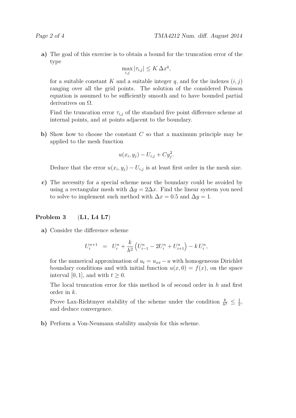**a)** The goal of this exercise is to obtain a bound for the truncation error of the type

$$
\max_{i,j} |\tau_{i,j}| \le K \, \Delta x^q,
$$

for a suitable constant *K* and a suitable integer *q*, and for the indexes  $(i, j)$ ranging over all the grid points. The solution of the considered Poisson equation is assumed to be sufficiently smooth and to have bounded partial derivatives on  $\Omega$ .

Find the truncation error  $\tau_{i,j}$  of the standard five point difference scheme at internal points, and at points adjacent to the boundary.

**b)** Show how to choose the constant *C* so that a maximum principle may be applied to the mesh function

$$
u(x_i, y_j) - U_{i,j} + C y_j^2.
$$

Deduce that the error  $u(x_i, y_j) - U_{i,j}$  is at least first order in the mesh size.

**c)** The necessity for a special scheme near the boundary could be avoided by using a rectangular mesh with  $\Delta y = 2\Delta x$ . Find the linear system you need to solve to implement such method with  $\Delta x = 0.5$  and  $\Delta y = 1$ .

#### **Problem 3** (**L1, L4 L7**)

**a)** Consider the difference scheme

$$
U_i^{n+1} = U_i^n + \frac{k}{h^2} \left( U_{i-1}^n - 2U_i^n + U_{i+1}^n \right) - k U_i^n,
$$

for the numerical approximation of  $u_t = u_{xx} - u$  with homogeneous Dirichlet boundary conditions and with initial function  $u(x, 0) = f(x)$ , on the space interval [0, 1], and with  $t \geq 0$ .

The local truncation error for this method is of second order in *h* and first order in *k*.

Prove Lax-Richtmyer stability of the scheme under the condition  $\frac{k}{h^2} \leq \frac{1}{2}$  $\frac{1}{2}$ and deduce convergence.

**b)** Perform a Von-Neumann stability analysis for this scheme.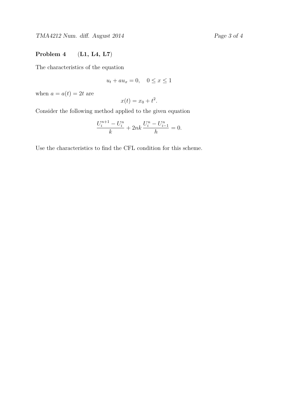TMA4212 Num. diff. August 2014 Page 3 of 4

### **Problem 4** (**L1, L4, L7**)

The characteristics of the equation

$$
u_t + au_x = 0, \quad 0 \le x \le 1
$$

when  $a = a(t) = 2t$  are

$$
x(t) = x_0 + t^2.
$$

Consider the following method applied to the given equation

$$
\frac{U_i^{n+1} - U_i^n}{k} + 2nk \frac{U_i^n - U_{i-1}^n}{h} = 0.
$$

Use the characteristics to find the CFL condition for this scheme.